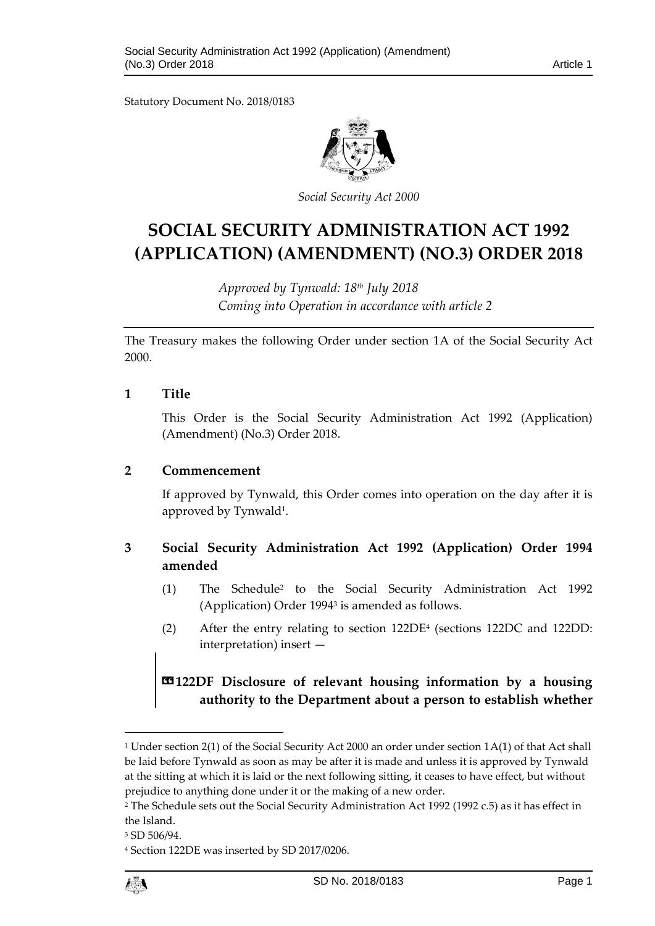Statutory Document No. 2018/0183



*Social Security Act 2000*

# **SOCIAL SECURITY ADMINISTRATION ACT 1992 (APPLICATION) (AMENDMENT) (NO.3) ORDER 2018**

*Approved by Tynwald: 18th July 2018 Coming into Operation in accordance with article 2*

The Treasury makes the following Order under section 1A of the Social Security Act 2000.

#### **1 Title**

This Order is the Social Security Administration Act 1992 (Application) (Amendment) (No.3) Order 2018.

### **2 Commencement**

If approved by Tynwald, this Order comes into operation on the day after it is approved by Tynwald<sup>1</sup>.

## **3 Social Security Administration Act 1992 (Application) Order 1994 amended**

- (1) The Schedule<sup>2</sup> to the Social Security Administration Act 1992 (Application) Order 1994<sup>3</sup> is amended as follows.
- (2) After the entry relating to section 122DE<sup>4</sup> (sections 122DC and 122DD: interpretation) insert —

# **«122DF Disclosure of relevant housing information by a housing authority to the Department about a person to establish whether**

<sup>4</sup> Section 122DE was inserted by SD 2017/0206.



1

<sup>1</sup> Under section 2(1) of the Social Security Act 2000 an order under section 1A(1) of that Act shall be laid before Tynwald as soon as may be after it is made and unless it is approved by Tynwald at the sitting at which it is laid or the next following sitting, it ceases to have effect, but without prejudice to anything done under it or the making of a new order.

<sup>2</sup> The Schedule sets out the Social Security Administration Act 1992 (1992 c.5) as it has effect in the Island.

<sup>3</sup> SD 506/94.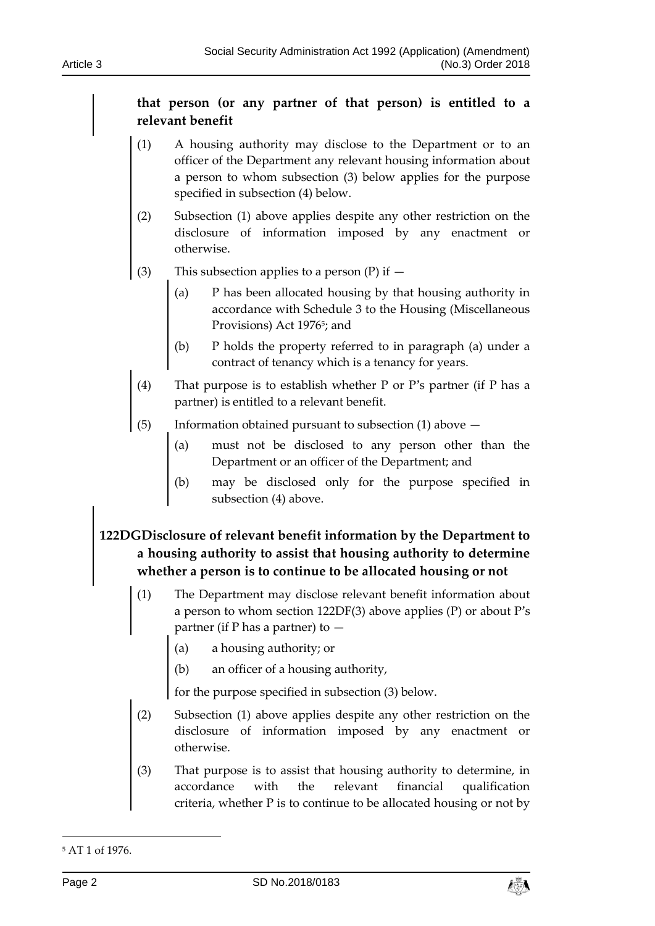## **that person (or any partner of that person) is entitled to a relevant benefit**

- (1) A housing authority may disclose to the Department or to an officer of the Department any relevant housing information about a person to whom subsection (3) below applies for the purpose specified in subsection (4) below.
- (2) Subsection (1) above applies despite any other restriction on the disclosure of information imposed by any enactment or otherwise.
- (3) This subsection applies to a person  $(P)$  if  $-$ 
	- (a) P has been allocated housing by that housing authority in accordance with Schedule 3 to the Housing (Miscellaneous Provisions) Act 1976<sup>5</sup>; and
	- (b) P holds the property referred to in paragraph (a) under a contract of tenancy which is a tenancy for years.
- (4) That purpose is to establish whether P or P's partner (if P has a partner) is entitled to a relevant benefit.
- (5) Information obtained pursuant to subsection (1) above
	- (a) must not be disclosed to any person other than the Department or an officer of the Department; and
	- (b) may be disclosed only for the purpose specified in subsection (4) above.

# **122DGDisclosure of relevant benefit information by the Department to a housing authority to assist that housing authority to determine whether a person is to continue to be allocated housing or not**

- (1) The Department may disclose relevant benefit information about a person to whom section 122DF(3) above applies (P) or about P's partner (if P has a partner) to  $-$ 
	- (a) a housing authority; or
	- (b) an officer of a housing authority,

for the purpose specified in subsection (3) below.

- (2) Subsection (1) above applies despite any other restriction on the disclosure of information imposed by any enactment or otherwise.
- (3) That purpose is to assist that housing authority to determine, in accordance with the relevant financial qualification criteria, whether P is to continue to be allocated housing or not by

-



<sup>5</sup> AT 1 of 1976.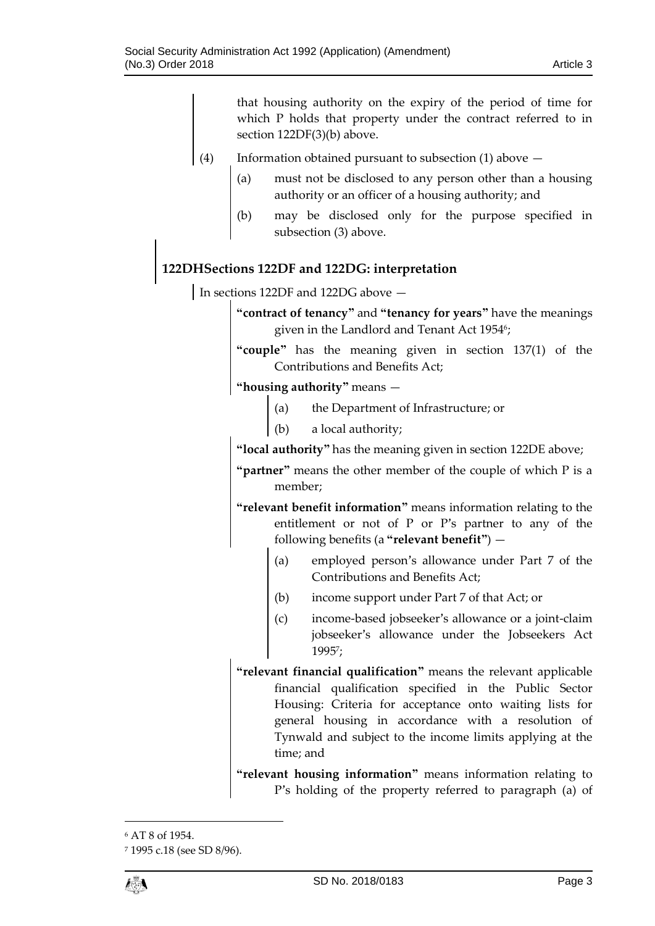that housing authority on the expiry of the period of time for which P holds that property under the contract referred to in section 122DF(3)(b) above.

- (4) Information obtained pursuant to subsection (1) above  $-$ 
	- (a) must not be disclosed to any person other than a housing authority or an officer of a housing authority; and
	- (b) may be disclosed only for the purpose specified in subsection (3) above.

## **122DHSections 122DF and 122DG: interpretation**

In sections 122DF and 122DG above -

**"contract of tenancy"** and **"tenancy for years"** have the meanings given in the Landlord and Tenant Act 1954<sup>6</sup>;

**"couple"** has the meaning given in section 137(1) of the Contributions and Benefits Act;

**"housing authority"** means —

- (a) the Department of Infrastructure; or
- (b) a local authority;

**"local authority"** has the meaning given in section 122DE above;

**"partner"** means the other member of the couple of which P is a member;

**"relevant benefit information"** means information relating to the entitlement or not of P or P's partner to any of the following benefits (a **"relevant benefit"**) —

- (a) employed person's allowance under Part 7 of the Contributions and Benefits Act;
- (b) income support under Part 7 of that Act; or
- (c) income-based jobseeker's allowance or a joint-claim jobseeker's allowance under the Jobseekers Act 1995<sup>7</sup> ;
- **"relevant financial qualification"** means the relevant applicable financial qualification specified in the Public Sector Housing: Criteria for acceptance onto waiting lists for general housing in accordance with a resolution of Tynwald and subject to the income limits applying at the time; and

**"relevant housing information"** means information relating to P's holding of the property referred to paragraph (a) of

 $\overline{a}$ 

<sup>6</sup> AT 8 of 1954.

<sup>7</sup> 1995 c.18 (see SD 8/96).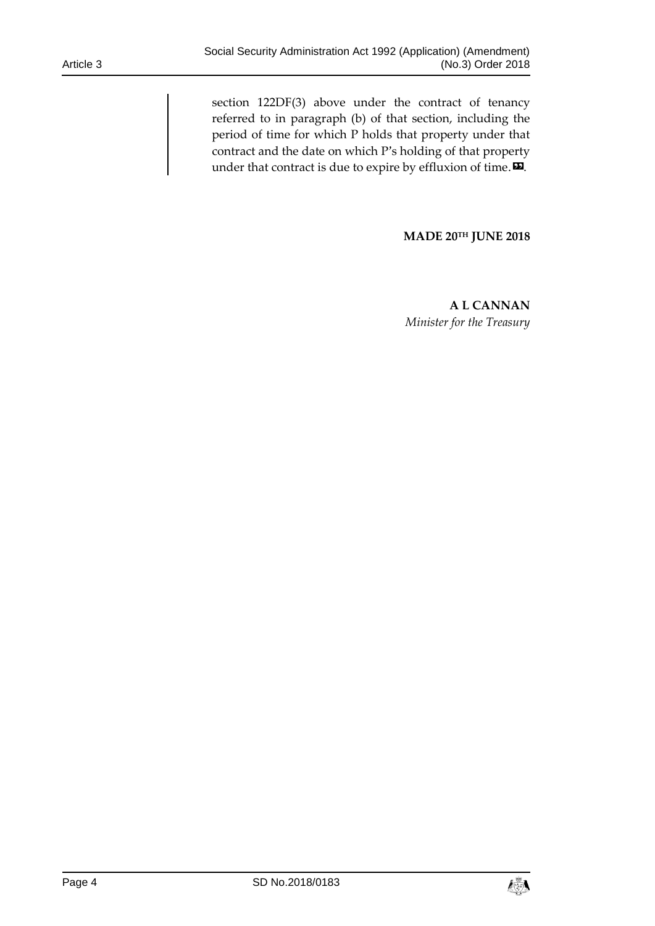section 122DF(3) above under the contract of tenancy referred to in paragraph (b) of that section, including the period of time for which P holds that property under that contract and the date on which P's holding of that property under that contract is due to expire by effluxion of time. $\mathbf{D}$ .

**MADE 20TH JUNE 2018**

**A L CANNAN** *Minister for the Treasury*